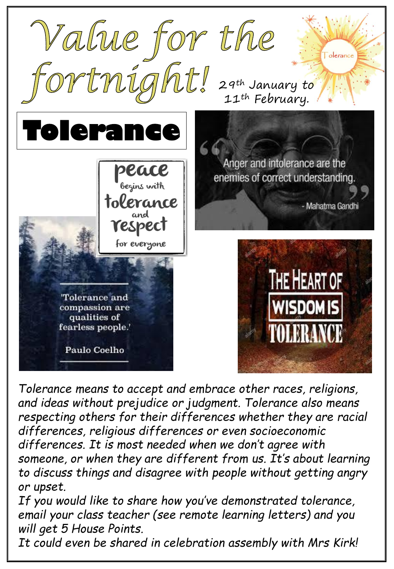

*Tolerance means to accept and embrace other races, religions, and ideas without prejudice or judgment. Tolerance also means respecting others for their differences whether they are racial differences, religious differences or even socioeconomic differences. It is most needed when we don't agree with someone, or when they are different from us. It's about learning to discuss things and disagree with people without getting angry or upset.* 

*If you would like to share how you've demonstrated tolerance, email your class teacher (see remote learning letters) and you will get 5 House Points.* 

*It could even be shared in celebration assembly with Mrs Kirk!*